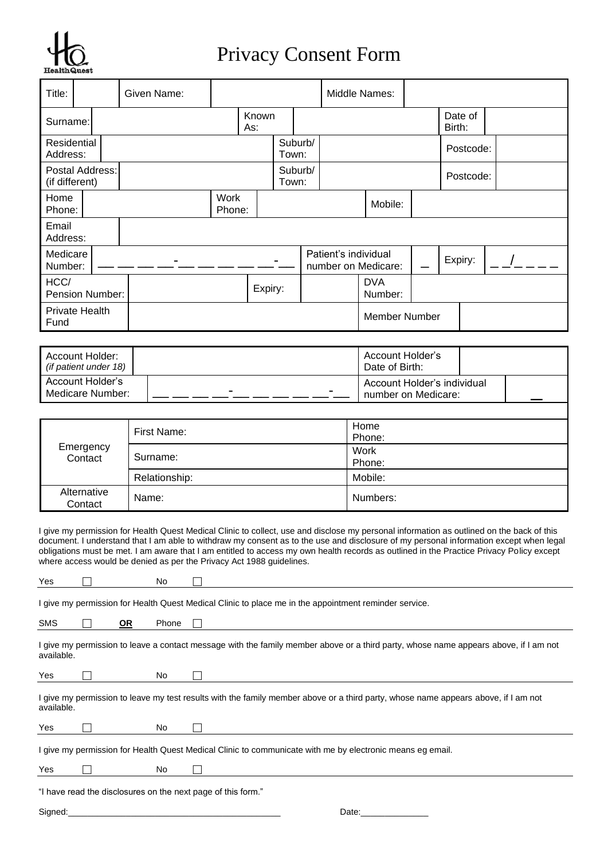

# Privacy Consent Form

| Title:                  |                 | Given Name: |                       |              |       |         | Middle Names:         |                      |   |                   |           |  |
|-------------------------|-----------------|-------------|-----------------------|--------------|-------|---------|-----------------------|----------------------|---|-------------------|-----------|--|
| Surname:                |                 |             |                       | Known<br>As: |       |         |                       |                      |   | Date of<br>Birth: |           |  |
| Residential<br>Address: |                 |             |                       |              | Town: | Suburb/ |                       |                      |   |                   | Postcode: |  |
| (if different)          | Postal Address: |             |                       |              | Town: | Suburb/ |                       |                      |   |                   | Postcode: |  |
| Home<br>Phone:          |                 |             | <b>Work</b><br>Phone: |              |       |         |                       | Mobile:              |   |                   |           |  |
| Email<br>Address:       |                 |             |                       |              |       |         |                       |                      |   |                   |           |  |
| Medicare<br>Number:     |                 |             |                       |              |       |         | Patient's individual  | number on Medicare:  |   | Expiry:           |           |  |
| HCC/<br>Pension Number: |                 |             | Expiry:               |              |       |         | <b>DVA</b><br>Number: |                      |   |                   |           |  |
| Private Health<br>Fund  |                 |             |                       |              |       |         |                       | <b>Member Number</b> |   |                   |           |  |
|                         |                 |             |                       |              |       |         |                       |                      |   |                   |           |  |
|                         |                 |             |                       |              |       |         |                       |                      | . |                   |           |  |

| Account Holder:<br>(if patient under 18) |        | Account Holder's<br>Date of Birth:                 |  |
|------------------------------------------|--------|----------------------------------------------------|--|
| Account Holder's<br>Medicare Number:     | -<br>- | Account Holder's individual<br>number on Medicare: |  |

|                        | First Name:   | Home<br>Phone: |  |  |  |
|------------------------|---------------|----------------|--|--|--|
| Emergency<br>Contact   | Surname:      | Work<br>Phone: |  |  |  |
|                        | Relationship: | Mobile:        |  |  |  |
| Alternative<br>Contact | Name:         | Numbers:       |  |  |  |

I give my permission for Health Quest Medical Clinic to collect, use and disclose my personal information as outlined on the back of this document. I understand that I am able to withdraw my consent as to the use and disclosure of my personal information except when legal obligations must be met. I am aware that I am entitled to access my own health records as outlined in the Practice Privacy Policy except where access would be denied as per the Privacy Act 1988 guidelines.

| Yes        |           | No    |                                                                                                                                      |
|------------|-----------|-------|--------------------------------------------------------------------------------------------------------------------------------------|
|            |           |       | I give my permission for Health Quest Medical Clinic to place me in the appointment reminder service.                                |
| <b>SMS</b> | <u>OR</u> | Phone |                                                                                                                                      |
| available. |           |       | I give my permission to leave a contact message with the family member above or a third party, whose name appears above, if I am not |
| Yes        |           | No    |                                                                                                                                      |
| available. |           |       | I give my permission to leave my test results with the family member above or a third party, whose name appears above, if I am not   |
| Yes        |           | No    |                                                                                                                                      |
|            |           |       | I give my permission for Health Quest Medical Clinic to communicate with me by electronic means eg email.                            |
| Yes        |           | No.   |                                                                                                                                      |
|            |           |       | "I have read the disclosures on the next page of this form."                                                                         |
| Signed:    |           |       | Date:                                                                                                                                |